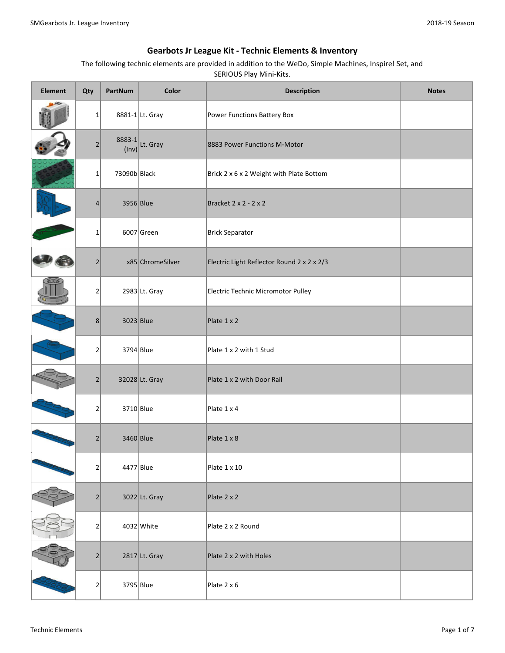| <b>Element</b> | Qty            | PartNum         | Color            | <b>Description</b>                         | <b>Notes</b> |
|----------------|----------------|-----------------|------------------|--------------------------------------------|--------------|
|                | $\mathbf{1}$   |                 | 8881-1 Lt. Gray  | Power Functions Battery Box                |              |
|                | $\overline{2}$ | 8883-1<br>(Inv) | Lt. Gray         | 8883 Power Functions M-Motor               |              |
|                | $1\vert$       | 73090b Black    |                  | Brick 2 x 6 x 2 Weight with Plate Bottom   |              |
|                | $\overline{4}$ | 3956 Blue       |                  | Bracket 2 x 2 - 2 x 2                      |              |
|                | $\mathbf{1}$   |                 | $6007$ Green     | <b>Brick Separator</b>                     |              |
|                | $\overline{2}$ |                 | x85 ChromeSilver | Electric Light Reflector Round 2 x 2 x 2/3 |              |
|                | $\overline{2}$ |                 | 2983 Lt. Gray    | Electric Technic Micromotor Pulley         |              |
|                | 8              | 3023 Blue       |                  | Plate 1 x 2                                |              |
|                | $\overline{2}$ | 3794 Blue       |                  | Plate 1 x 2 with 1 Stud                    |              |
|                | $\overline{2}$ |                 | 32028 Lt. Gray   | Plate 1 x 2 with Door Rail                 |              |
|                | $\overline{2}$ | 3710 Blue       |                  | Plate 1 x 4                                |              |
|                | 2              | 3460 Blue       |                  | Plate 1 x 8                                |              |
|                | 2              | 4477 Blue       |                  | Plate 1 x 10                               |              |
|                | $\overline{2}$ |                 | 3022 Lt. Gray    | Plate 2 x 2                                |              |
|                | 2              |                 | $4032$ White     | Plate 2 x 2 Round                          |              |
|                | $\overline{2}$ |                 | 2817 Lt. Gray    | Plate 2 x 2 with Holes                     |              |
|                | 2              | 3795 Blue       |                  | Plate 2 x 6                                |              |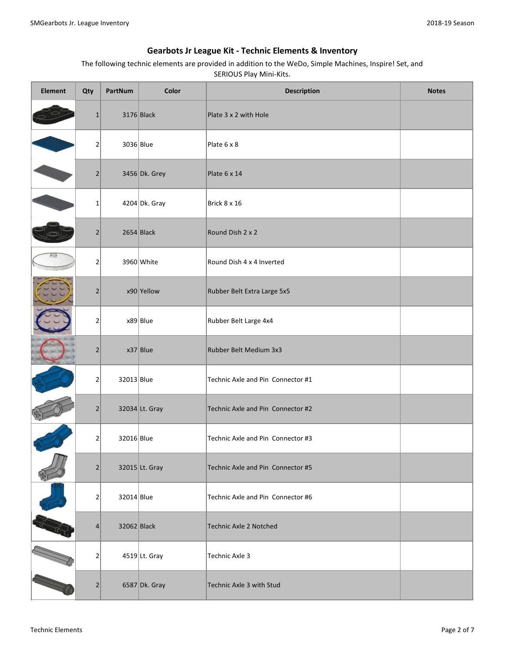| <b>Element</b> | Qty            | PartNum     | Color           | <b>Description</b>                | <b>Notes</b> |
|----------------|----------------|-------------|-----------------|-----------------------------------|--------------|
|                | $\mathbf{1}$   |             | $3176$ Black    | Plate 3 x 2 with Hole             |              |
|                | $\overline{2}$ | 3036 Blue   |                 | Plate 6 x 8                       |              |
|                | $\overline{2}$ |             | 3456 Dk. Grey   | Plate 6 x 14                      |              |
|                | $\mathbf{1}$   |             | $4204$ Dk. Gray | Brick 8 x 16                      |              |
|                | 2              |             | $2654$ Black    | Round Dish 2 x 2                  |              |
|                | $\overline{2}$ |             | $3960$ White    | Round Dish 4 x 4 Inverted         |              |
|                | $\overline{2}$ |             | $x90$ Yellow    | Rubber Belt Extra Large 5x5       |              |
|                | $\overline{2}$ |             | $x89$ Blue      | Rubber Belt Large 4x4             |              |
|                | $\overline{2}$ |             | $x37$ Blue      | Rubber Belt Medium 3x3            |              |
|                | $\overline{2}$ | 32013 Blue  |                 | Technic Axle and Pin Connector #1 |              |
|                | $\overline{2}$ |             | 32034 Lt. Gray  | Technic Axle and Pin Connector #2 |              |
|                | 2              | 32016 Blue  |                 | Technic Axle and Pin Connector #3 |              |
|                | $\overline{2}$ |             | 32015 Lt. Gray  | Technic Axle and Pin Connector #5 |              |
|                | $\overline{2}$ | 32014 Blue  |                 | Technic Axle and Pin Connector #6 |              |
|                | 4              | 32062 Black |                 | <b>Technic Axle 2 Notched</b>     |              |
|                | 2              |             | 4519 Lt. Gray   | Technic Axle 3                    |              |
|                | $\overline{2}$ |             | 6587 Dk. Gray   | Technic Axle 3 with Stud          |              |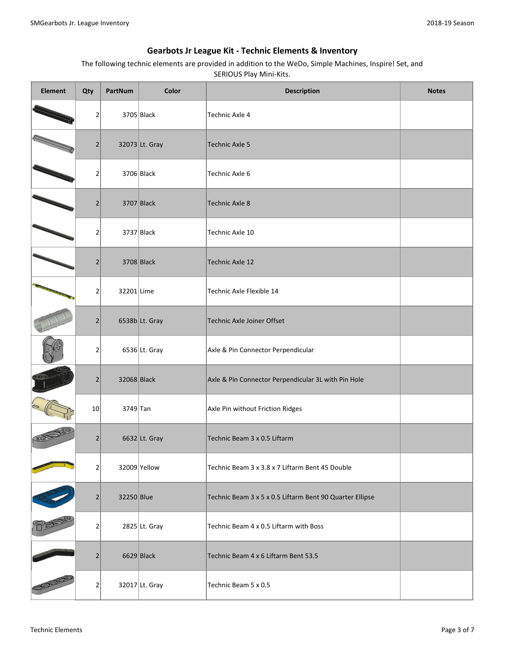| <b>Element</b> | Qty            | PartNum     | Color           | <b>Description</b>                                       | <b>Notes</b> |
|----------------|----------------|-------------|-----------------|----------------------------------------------------------|--------------|
|                | 2              |             | $3705$ Black    | <b>Technic Axle 4</b>                                    |              |
|                | $\overline{2}$ |             | 32073 Lt. Gray  | <b>Technic Axle 5</b>                                    |              |
|                | 2              |             | $3706$ Black    | Technic Axle 6                                           |              |
|                | $\overline{2}$ |             | $3707$ Black    | <b>Technic Axle 8</b>                                    |              |
|                | 2              |             | $3737$ Black    | Technic Axle 10                                          |              |
|                | $\overline{2}$ |             | $3708$ Black    | <b>Technic Axle 12</b>                                   |              |
|                | 2              | 32201 Lime  |                 | Technic Axle Flexible 14                                 |              |
|                | $\overline{2}$ |             | 6538b Lt. Gray  | Technic Axle Joiner Offset                               |              |
|                | 2              |             | $6536$ Lt. Gray | Axle & Pin Connector Perpendicular                       |              |
|                | $\overline{2}$ | 32068 Black |                 | Axle & Pin Connector Perpendicular 3L with Pin Hole      |              |
|                | 10             | $3749$ Tan  |                 | Axle Pin without Friction Ridges                         |              |
|                | $\overline{2}$ |             | 6632 Lt. Gray   | Technic Beam 3 x 0.5 Liftarm                             |              |
|                | 2              |             | 32009 Yellow    | Technic Beam 3 x 3.8 x 7 Liftarm Bent 45 Double          |              |
|                | $\overline{2}$ | 32250 Blue  |                 | Technic Beam 3 x 5 x 0.5 Liftarm Bent 90 Quarter Ellipse |              |
|                | 2              |             | 2825 Lt. Gray   | Technic Beam 4 x 0.5 Liftarm with Boss                   |              |
|                | $\overline{2}$ |             | $6629$ Black    | Technic Beam 4 x 6 Liftarm Bent 53.5                     |              |
|                | 2              |             | 32017 Lt. Gray  | Technic Beam 5 x 0.5                                     |              |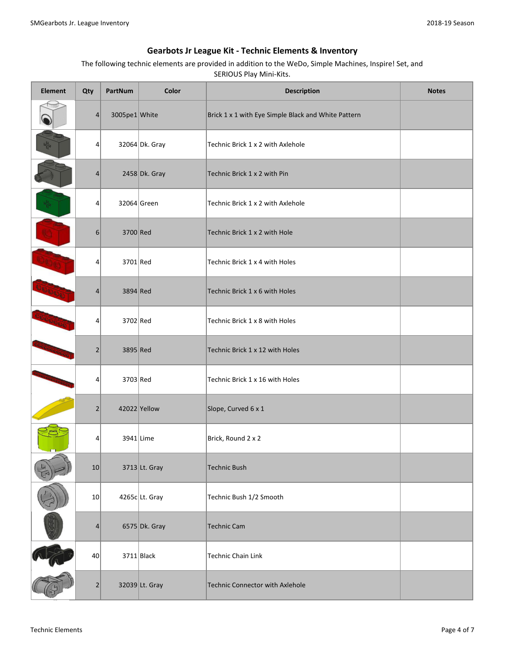| <b>Element</b> | Qty             | PartNum       | Color           | <b>Description</b>                                  | <b>Notes</b> |
|----------------|-----------------|---------------|-----------------|-----------------------------------------------------|--------------|
|                | 4               | 3005pe1 White |                 | Brick 1 x 1 with Eye Simple Black and White Pattern |              |
|                | 4               |               | 32064 Dk. Gray  | Technic Brick 1 x 2 with Axlehole                   |              |
|                | 4               |               | $2458$ Dk. Gray | Technic Brick 1 x 2 with Pin                        |              |
|                | 4               |               | 32064 Green     | Technic Brick 1 x 2 with Axlehole                   |              |
|                | $6 \mid$        | 3700 Red      |                 | Technic Brick 1 x 2 with Hole                       |              |
| <b>DIDEK</b>   | 4               | 3701 Red      |                 | Technic Brick 1 x 4 with Holes                      |              |
|                | 4               | $3894$ Red    |                 | Technic Brick 1 x 6 with Holes                      |              |
|                | 4               | 3702 Red      |                 | Technic Brick 1 x 8 with Holes                      |              |
|                | 2               | 3895 Red      |                 | Technic Brick 1 x 12 with Holes                     |              |
|                | 4               | 3703 Red      |                 | Technic Brick 1 x 16 with Holes                     |              |
|                | $\overline{2}$  |               | 42022 Yellow    | Slope, Curved 6 x 1                                 |              |
|                | 4               |               | 3941 Lime       | Brick, Round 2 x 2                                  |              |
|                | 10              |               | 3713 Lt. Gray   | Technic Bush                                        |              |
|                | 10 <sup>1</sup> |               | 4265c Lt. Gray  | Technic Bush 1/2 Smooth                             |              |
|                | 4               |               | 6575 Dk. Gray   | <b>Technic Cam</b>                                  |              |
|                | 40              |               | $3711$ Black    | Technic Chain Link                                  |              |
|                | $\overline{2}$  |               | 32039 Lt. Gray  | Technic Connector with Axlehole                     |              |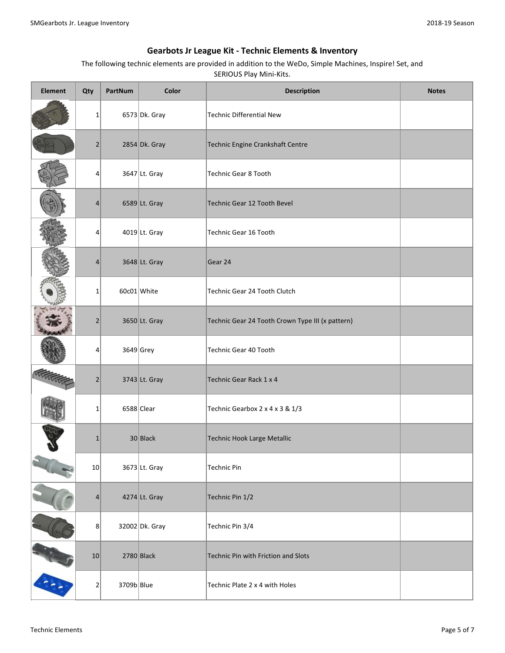| <b>Element</b> | Qty             | PartNum    | Color           | <b>Description</b>                               | <b>Notes</b> |
|----------------|-----------------|------------|-----------------|--------------------------------------------------|--------------|
|                | $1\vert$        |            | $6573$ Dk. Gray | Technic Differential New                         |              |
|                | $\overline{2}$  |            | $2854 Dk.$ Gray | Technic Engine Crankshaft Centre                 |              |
|                | 4               |            | 3647 Lt. Gray   | Technic Gear 8 Tooth                             |              |
|                | 4               |            | 6589 Lt. Gray   | Technic Gear 12 Tooth Bevel                      |              |
|                | 4               |            | $4019$ Lt. Gray | Technic Gear 16 Tooth                            |              |
|                | 4               |            | 3648 Lt. Gray   | Gear 24                                          |              |
|                | $1\vert$        |            | 60c01 White     | Technic Gear 24 Tooth Clutch                     |              |
|                | $\overline{2}$  |            | 3650 Lt. Gray   | Technic Gear 24 Tooth Crown Type III (x pattern) |              |
|                | 4               |            | $3649$ Grey     | Technic Gear 40 Tooth                            |              |
|                | $\overline{2}$  |            | 3743 Lt. Gray   | Technic Gear Rack 1 x 4                          |              |
|                | $\mathbf{1}$    |            | $6588$ Clear    | Technic Gearbox 2 x 4 x 3 & 1/3                  |              |
|                | $\mathbf{1}$    |            | $30$ Black      | Technic Hook Large Metallic                      |              |
|                | 10              |            | 3673 Lt. Gray   | <b>Technic Pin</b>                               |              |
|                | $\vert 4 \vert$ |            | 4274 Lt. Gray   | Technic Pin 1/2                                  |              |
|                | 8               |            | 32002 Dk. Gray  | Technic Pin 3/4                                  |              |
|                | 10              |            | $2780$ Black    | Technic Pin with Friction and Slots              |              |
|                | 2               | 3709b Blue |                 | Technic Plate 2 x 4 with Holes                   |              |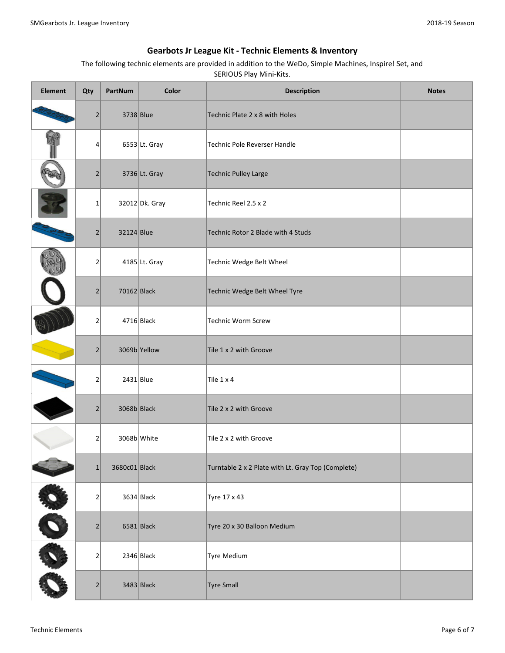| <b>Element</b> | Qty                          | PartNum       | Color            | <b>Description</b>                                 | <b>Notes</b> |
|----------------|------------------------------|---------------|------------------|----------------------------------------------------|--------------|
|                | $\left  \frac{2}{2} \right $ | 3738 Blue     |                  | Technic Plate 2 x 8 with Holes                     |              |
|                | 4                            |               | $6553$ Lt. Gray  | Technic Pole Reverser Handle                       |              |
|                | $\overline{2}$               |               | 3736 Lt. Gray    | Technic Pulley Large                               |              |
|                | $\mathbf 1$                  |               | $32012 Dk.$ Gray | Technic Reel 2.5 x 2                               |              |
|                | $\overline{2}$               | 32124 Blue    |                  | Technic Rotor 2 Blade with 4 Studs                 |              |
|                | $\mathbf 2$                  |               | $4185$ Lt. Gray  | Technic Wedge Belt Wheel                           |              |
|                | $\overline{2}$               | $70162$ Black |                  | Technic Wedge Belt Wheel Tyre                      |              |
|                | $\mathbf 2$                  |               | $4716$ Black     | Technic Worm Screw                                 |              |
|                | $\overline{2}$               |               | 3069b Yellow     | Tile 1 x 2 with Groove                             |              |
|                | $\mathbf 2$                  | $2431$ Blue   |                  | Tile 1 x 4                                         |              |
|                | $\overline{2}$               | $3068b$ Black |                  | Tile 2 x 2 with Groove                             |              |
|                | 2                            | 3068b White   |                  | Tile 2 x 2 with Groove                             |              |
| $\sim$         | 1                            | 3680c01 Black |                  | Turntable 2 x 2 Plate with Lt. Gray Top (Complete) |              |
| <b>SEE</b>     | $\mathbf 2$                  |               | $3634$ Black     | Tyre 17 x 43                                       |              |
|                | $\overline{2}$               |               | $6581$ Black     | Tyre 20 x 30 Balloon Medium                        |              |
| O              | $\overline{2}$               |               | $2346$ Black     | Tyre Medium                                        |              |
|                | $\left  \frac{2}{2} \right $ |               | $3483$ Black     | <b>Tyre Small</b>                                  |              |